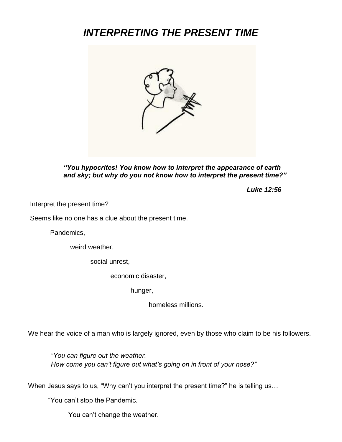# *INTERPRETING THE PRESENT TIME*



*"You hypocrites! You know how to interpret the appearance of earth and sky; but why do you not know how to interpret the present time?"*

*Luke 12:56*

Interpret the present time?

Seems like no one has a clue about the present time.

Pandemics,

weird weather,

social unrest,

economic disaster,

hunger,

homeless millions.

We hear the voice of a man who is largely ignored, even by those who claim to be his followers.

*"You can figure out the weather. How come you can't figure out what's going on in front of your nose?"*

When Jesus says to us, "Why can't you interpret the present time?" he is telling us...

"You can't stop the Pandemic.

You can't change the weather.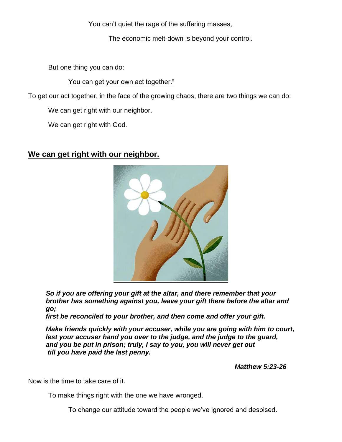You can't quiet the rage of the suffering masses,

The economic melt-down is beyond your control.

But one thing you can do:

You can get your own act together."

To get our act together, in the face of the growing chaos, there are two things we can do:

We can get right with our neighbor.

We can get right with God.

### **We can get right with our neighbor.**



*So if you are offering your gift at the altar, and there remember that your brother has something against you, leave your gift there before the altar and go;* 

*first be reconciled to your brother, and then come and offer your gift.*

*Make friends quickly with your accuser, while you are going with him to court, lest your accuser hand you over to the judge, and the judge to the guard, and you be put in prison; truly, I say to you, you will never get out till you have paid the last penny.*

*Matthew 5:23-26*

Now is the time to take care of it.

To make things right with the one we have wronged.

To change our attitude toward the people we've ignored and despised.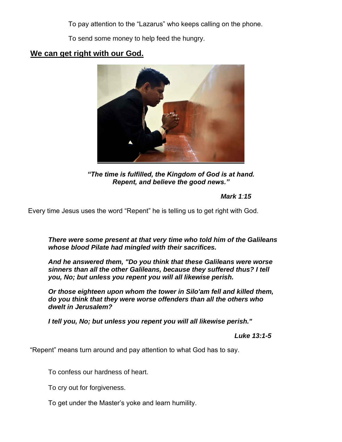To pay attention to the "Lazarus" who keeps calling on the phone.

To send some money to help feed the hungry.

## **We can get right with our God.**



*"The time is fulfilled, the Kingdom of God is at hand. Repent, and believe the good news."*

#### *Mark 1:15*

Every time Jesus uses the word "Repent" he is telling us to get right with God.

*There were some present at that very time who told him of the Galileans whose blood Pilate had mingled with their sacrifices.*

*And he answered them, "Do you think that these Galileans were worse sinners than all the other Galileans, because they suffered thus? I tell you, No; but unless you repent you will all likewise perish.*

*Or those eighteen upon whom the tower in Silo'am fell and killed them, do you think that they were worse offenders than all the others who dwelt in Jerusalem?*

*I tell you, No; but unless you repent you will all likewise perish."*

 *Luke 13:1-5*

"Repent" means turn around and pay attention to what God has to say.

To confess our hardness of heart.

To cry out for forgiveness.

To get under the Master's yoke and learn humility.